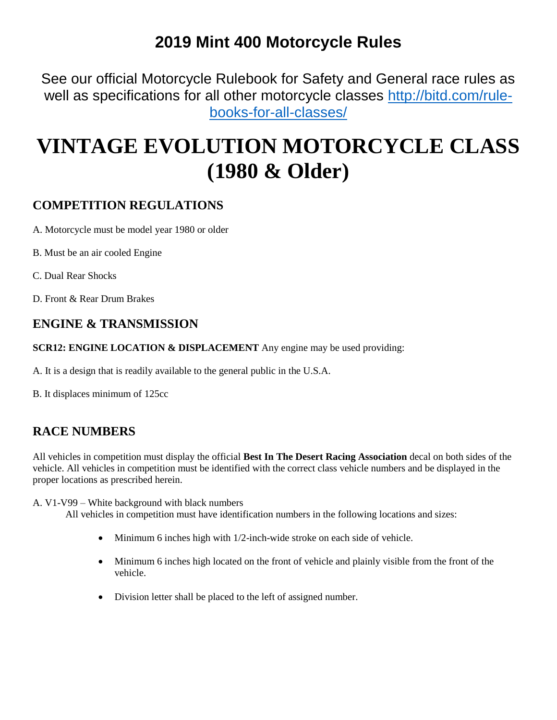## **2019 Mint 400 Motorcycle Rules**

See our official Motorcycle Rulebook for Safety and General race rules as well as specifications for all other motorcycle classes [http://bitd.com/rule](http://bitd.com/rule-books-for-all-classes/)[books-for-all-classes/](http://bitd.com/rule-books-for-all-classes/)

# **VINTAGE EVOLUTION MOTORCYCLE CLASS (1980 & Older)**

### **COMPETITION REGULATIONS**

A. Motorcycle must be model year 1980 or older

- B. Must be an air cooled Engine
- C. Dual Rear Shocks

D. Front & Rear Drum Brakes

#### **ENGINE & TRANSMISSION**

**SCR12: ENGINE LOCATION & DISPLACEMENT** Any engine may be used providing:

A. It is a design that is readily available to the general public in the U.S.A.

B. It displaces minimum of 125cc

### **RACE NUMBERS**

All vehicles in competition must display the official **Best In The Desert Racing Association** decal on both sides of the vehicle. All vehicles in competition must be identified with the correct class vehicle numbers and be displayed in the proper locations as prescribed herein.

A. V1-V99 – White background with black numbers

- Minimum 6 inches high with 1/2-inch-wide stroke on each side of vehicle.
- Minimum 6 inches high located on the front of vehicle and plainly visible from the front of the vehicle.
- Division letter shall be placed to the left of assigned number.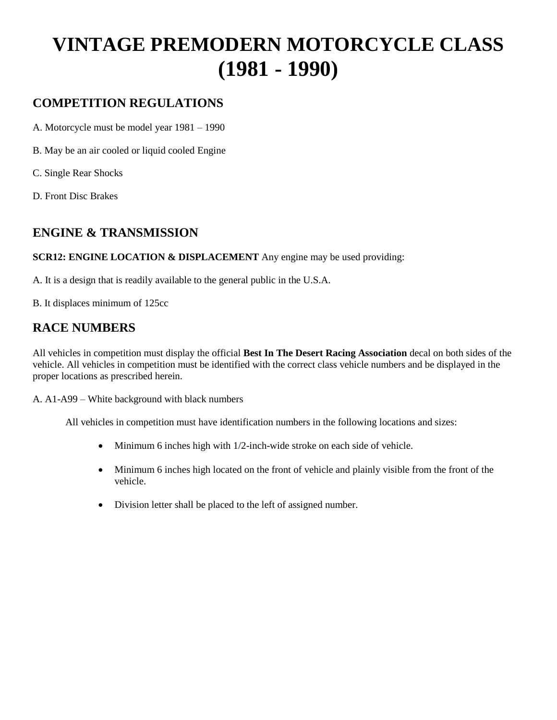## **VINTAGE PREMODERN MOTORCYCLE CLASS (1981 - 1990)**

#### **COMPETITION REGULATIONS**

A. Motorcycle must be model year 1981 – 1990

- B. May be an air cooled or liquid cooled Engine
- C. Single Rear Shocks
- D. Front Disc Brakes

#### **ENGINE & TRANSMISSION**

**SCR12: ENGINE LOCATION & DISPLACEMENT** Any engine may be used providing:

A. It is a design that is readily available to the general public in the U.S.A.

B. It displaces minimum of 125cc

#### **RACE NUMBERS**

All vehicles in competition must display the official **Best In The Desert Racing Association** decal on both sides of the vehicle. All vehicles in competition must be identified with the correct class vehicle numbers and be displayed in the proper locations as prescribed herein.

A. A1-A99 – White background with black numbers

- Minimum 6 inches high with 1/2-inch-wide stroke on each side of vehicle.
- Minimum 6 inches high located on the front of vehicle and plainly visible from the front of the vehicle.
- Division letter shall be placed to the left of assigned number.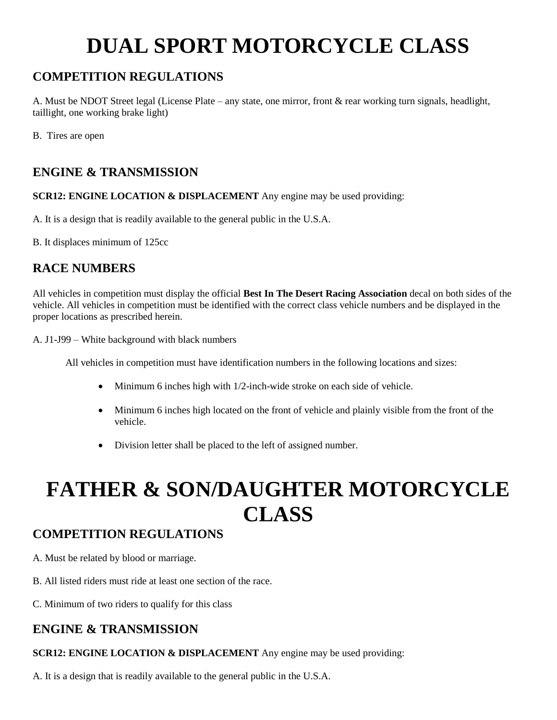# **DUAL SPORT MOTORCYCLE CLASS**

### **COMPETITION REGULATIONS**

A. Must be NDOT Street legal (License Plate – any state, one mirror, front & rear working turn signals, headlight, taillight, one working brake light)

B. Tires are open

#### **ENGINE & TRANSMISSION**

**SCR12: ENGINE LOCATION & DISPLACEMENT** Any engine may be used providing:

A. It is a design that is readily available to the general public in the U.S.A.

B. It displaces minimum of 125cc

#### **RACE NUMBERS**

All vehicles in competition must display the official **Best In The Desert Racing Association** decal on both sides of the vehicle. All vehicles in competition must be identified with the correct class vehicle numbers and be displayed in the proper locations as prescribed herein.

A. J1-J99 – White background with black numbers

All vehicles in competition must have identification numbers in the following locations and sizes:

- Minimum 6 inches high with 1/2-inch-wide stroke on each side of vehicle.
- Minimum 6 inches high located on the front of vehicle and plainly visible from the front of the vehicle.
- Division letter shall be placed to the left of assigned number.

# **FATHER & SON/DAUGHTER MOTORCYCLE CLASS**

#### **COMPETITION REGULATIONS**

- A. Must be related by blood or marriage.
- B. All listed riders must ride at least one section of the race.

C. Minimum of two riders to qualify for this class

#### **ENGINE & TRANSMISSION**

**SCR12: ENGINE LOCATION & DISPLACEMENT** Any engine may be used providing:

A. It is a design that is readily available to the general public in the U.S.A.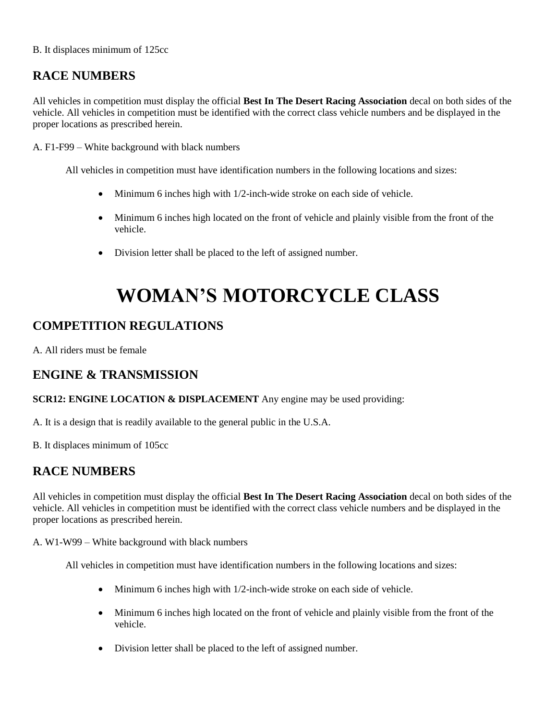#### B. It displaces minimum of 125cc

#### **RACE NUMBERS**

All vehicles in competition must display the official **Best In The Desert Racing Association** decal on both sides of the vehicle. All vehicles in competition must be identified with the correct class vehicle numbers and be displayed in the proper locations as prescribed herein.

A. F1-F99 – White background with black numbers

All vehicles in competition must have identification numbers in the following locations and sizes:

- Minimum 6 inches high with 1/2-inch-wide stroke on each side of vehicle.
- Minimum 6 inches high located on the front of vehicle and plainly visible from the front of the vehicle.
- Division letter shall be placed to the left of assigned number.

## **WOMAN'S MOTORCYCLE CLASS**

#### **COMPETITION REGULATIONS**

A. All riders must be female

#### **ENGINE & TRANSMISSION**

#### **SCR12: ENGINE LOCATION & DISPLACEMENT** Any engine may be used providing:

A. It is a design that is readily available to the general public in the U.S.A.

B. It displaces minimum of 105cc

#### **RACE NUMBERS**

All vehicles in competition must display the official **Best In The Desert Racing Association** decal on both sides of the vehicle. All vehicles in competition must be identified with the correct class vehicle numbers and be displayed in the proper locations as prescribed herein.

A. W1-W99 – White background with black numbers

- Minimum 6 inches high with 1/2-inch-wide stroke on each side of vehicle.
- Minimum 6 inches high located on the front of vehicle and plainly visible from the front of the vehicle.
- Division letter shall be placed to the left of assigned number.